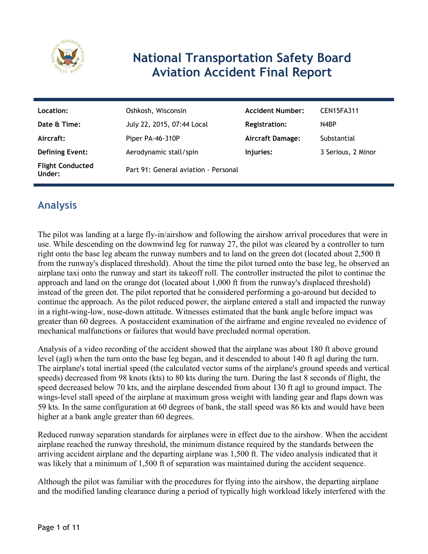

# **National Transportation Safety Board Aviation Accident Final Report**

| Location:                         | Oshkosh, Wisconsin                   | <b>Accident Number:</b> | CEN15FA311         |
|-----------------------------------|--------------------------------------|-------------------------|--------------------|
| Date & Time:                      | July 22, 2015, 07:44 Local           | Registration:           | N4BP               |
| Aircraft:                         | Piper PA-46-310P                     | <b>Aircraft Damage:</b> | Substantial        |
| <b>Defining Event:</b>            | Aerodynamic stall/spin               | Injuries:               | 3 Serious, 2 Minor |
| <b>Flight Conducted</b><br>Under: | Part 91: General aviation - Personal |                         |                    |

# **Analysis**

The pilot was landing at a large fly-in/airshow and following the airshow arrival procedures that were in use. While descending on the downwind leg for runway 27, the pilot was cleared by a controller to turn right onto the base leg abeam the runway numbers and to land on the green dot (located about 2,500 ft from the runway's displaced threshold). About the time the pilot turned onto the base leg, he observed an airplane taxi onto the runway and start its takeoff roll. The controller instructed the pilot to continue the approach and land on the orange dot (located about 1,000 ft from the runway's displaced threshold) instead of the green dot. The pilot reported that he considered performing a go-around but decided to continue the approach. As the pilot reduced power, the airplane entered a stall and impacted the runway in a right-wing-low, nose-down attitude. Witnesses estimated that the bank angle before impact was greater than 60 degrees. A postaccident examination of the airframe and engine revealed no evidence of mechanical malfunctions or failures that would have precluded normal operation.

Analysis of a video recording of the accident showed that the airplane was about 180 ft above ground level (agl) when the turn onto the base leg began, and it descended to about 140 ft agl during the turn. The airplane's total inertial speed (the calculated vector sums of the airplane's ground speeds and vertical speeds) decreased from 98 knots (kts) to 80 kts during the turn. During the last 8 seconds of flight, the speed decreased below 70 kts, and the airplane descended from about 130 ft agl to ground impact. The wings-level stall speed of the airplane at maximum gross weight with landing gear and flaps down was 59 kts. In the same configuration at 60 degrees of bank, the stall speed was 86 kts and would have been higher at a bank angle greater than 60 degrees.

Reduced runway separation standards for airplanes were in effect due to the airshow. When the accident airplane reached the runway threshold, the minimum distance required by the standards between the arriving accident airplane and the departing airplane was 1,500 ft. The video analysis indicated that it was likely that a minimum of 1,500 ft of separation was maintained during the accident sequence.

Although the pilot was familiar with the procedures for flying into the airshow, the departing airplane and the modified landing clearance during a period of typically high workload likely interfered with the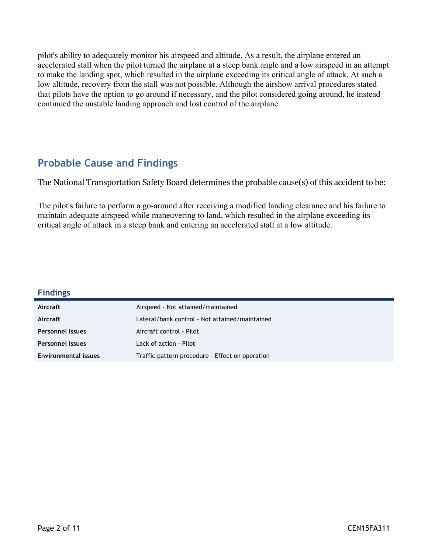pilot's ability to adequately monitor his airspeed and altitude. As a result, the airplane entered an accelerated stall when the pilot turned the airplane at a steep bank angle and a low airspeed in an attempt to make the landing spot, which resulted in the airplane exceeding its critical angle of attack. At such a low altitude, recovery from the stall was not possible. Although the airshow arrival procedures stated that pilots have the option to go around if necessary, and the pilot considered going around, he instead continued the unstable landing approach and lost control of the airplane.

## **Probable Cause and Findings**

The National Transportation Safety Board determines the probable cause(s) of this accident to be:

The pilot's failure to perform a go-around after receiving a modified landing clearance and his failure to maintain adequate airspeed while maneuvering to land, which resulted in the airplane exceeding its critical angle of attack in a steep bank and entering an accelerated stall at a low altitude.

| <b>Findings</b>             |                                                 |
|-----------------------------|-------------------------------------------------|
| Aircraft                    | Airspeed - Not attained/maintained              |
| Aircraft                    | Lateral/bank control - Not attained/maintained  |
| Personnel issues            | Aircraft control - Pilot                        |
| <b>Personnel issues</b>     | Lack of action - Pilot                          |
| <b>Environmental issues</b> | Traffic pattern procedure - Effect on operation |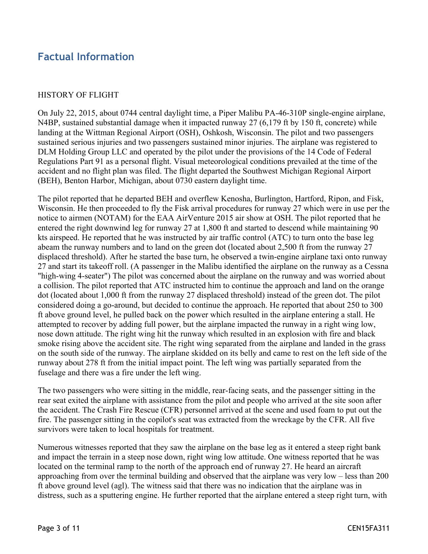## **Factual Information**

#### HISTORY OF FLIGHT

On July 22, 2015, about 0744 central daylight time, a Piper Malibu PA-46-310P single-engine airplane, N4BP, sustained substantial damage when it impacted runway 27 (6,179 ft by 150 ft, concrete) while landing at the Wittman Regional Airport (OSH), Oshkosh, Wisconsin. The pilot and two passengers sustained serious injuries and two passengers sustained minor injuries. The airplane was registered to DLM Holding Group LLC and operated by the pilot under the provisions of the 14 Code of Federal Regulations Part 91 as a personal flight. Visual meteorological conditions prevailed at the time of the accident and no flight plan was filed. The flight departed the Southwest Michigan Regional Airport (BEH), Benton Harbor, Michigan, about 0730 eastern daylight time.

The pilot reported that he departed BEH and overflew Kenosha, Burlington, Hartford, Ripon, and Fisk, Wisconsin. He then proceeded to fly the Fisk arrival procedures for runway 27 which were in use per the notice to airmen (NOTAM) for the EAA AirVenture 2015 air show at OSH. The pilot reported that he entered the right downwind leg for runway 27 at 1,800 ft and started to descend while maintaining 90 kts airspeed. He reported that he was instructed by air traffic control (ATC) to turn onto the base leg abeam the runway numbers and to land on the green dot (located about 2,500 ft from the runway 27 displaced threshold). After he started the base turn, he observed a twin-engine airplane taxi onto runway 27 and start its takeoff roll. (A passenger in the Malibu identified the airplane on the runway as a Cessna "high-wing 4-seater") The pilot was concerned about the airplane on the runway and was worried about a collision. The pilot reported that ATC instructed him to continue the approach and land on the orange dot (located about 1,000 ft from the runway 27 displaced threshold) instead of the green dot. The pilot considered doing a go-around, but decided to continue the approach. He reported that about 250 to 300 ft above ground level, he pulled back on the power which resulted in the airplane entering a stall. He attempted to recover by adding full power, but the airplane impacted the runway in a right wing low, nose down attitude. The right wing hit the runway which resulted in an explosion with fire and black smoke rising above the accident site. The right wing separated from the airplane and landed in the grass on the south side of the runway. The airplane skidded on its belly and came to rest on the left side of the runway about 278 ft from the initial impact point. The left wing was partially separated from the fuselage and there was a fire under the left wing.

The two passengers who were sitting in the middle, rear-facing seats, and the passenger sitting in the rear seat exited the airplane with assistance from the pilot and people who arrived at the site soon after the accident. The Crash Fire Rescue (CFR) personnel arrived at the scene and used foam to put out the fire. The passenger sitting in the copilot's seat was extracted from the wreckage by the CFR. All five survivors were taken to local hospitals for treatment.

Numerous witnesses reported that they saw the airplane on the base leg as it entered a steep right bank and impact the terrain in a steep nose down, right wing low attitude. One witness reported that he was located on the terminal ramp to the north of the approach end of runway 27. He heard an aircraft approaching from over the terminal building and observed that the airplane was very low – less than 200 ft above ground level (agl). The witness said that there was no indication that the airplane was in distress, such as a sputtering engine. He further reported that the airplane entered a steep right turn, with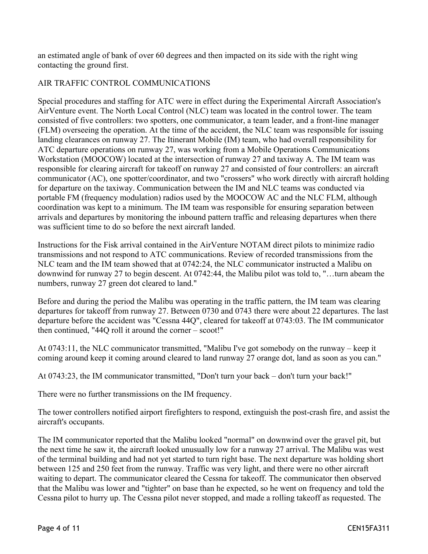an estimated angle of bank of over 60 degrees and then impacted on its side with the right wing contacting the ground first.

#### AIR TRAFFIC CONTROL COMMUNICATIONS

Special procedures and staffing for ATC were in effect during the Experimental Aircraft Association's AirVenture event. The North Local Control (NLC) team was located in the control tower. The team consisted of five controllers: two spotters, one communicator, a team leader, and a front-line manager (FLM) overseeing the operation. At the time of the accident, the NLC team was responsible for issuing landing clearances on runway 27. The Itinerant Mobile (IM) team, who had overall responsibility for ATC departure operations on runway 27, was working from a Mobile Operations Communications Workstation (MOOCOW) located at the intersection of runway 27 and taxiway A. The IM team was responsible for clearing aircraft for takeoff on runway 27 and consisted of four controllers: an aircraft communicator (AC), one spotter/coordinator, and two "crossers" who work directly with aircraft holding for departure on the taxiway. Communication between the IM and NLC teams was conducted via portable FM (frequency modulation) radios used by the MOOCOW AC and the NLC FLM, although coordination was kept to a minimum. The IM team was responsible for ensuring separation between arrivals and departures by monitoring the inbound pattern traffic and releasing departures when there was sufficient time to do so before the next aircraft landed.

Instructions for the Fisk arrival contained in the AirVenture NOTAM direct pilots to minimize radio transmissions and not respond to ATC communications. Review of recorded transmissions from the NLC team and the IM team showed that at 0742:24, the NLC communicator instructed a Malibu on downwind for runway 27 to begin descent. At 0742:44, the Malibu pilot was told to, "…turn abeam the numbers, runway 27 green dot cleared to land."

Before and during the period the Malibu was operating in the traffic pattern, the IM team was clearing departures for takeoff from runway 27. Between 0730 and 0743 there were about 22 departures. The last departure before the accident was "Cessna 44Q", cleared for takeoff at 0743:03. The IM communicator then continued, "44Q roll it around the corner – scoot!"

At 0743:11, the NLC communicator transmitted, "Malibu I've got somebody on the runway – keep it coming around keep it coming around cleared to land runway 27 orange dot, land as soon as you can."

At 0743:23, the IM communicator transmitted, "Don't turn your back – don't turn your back!"

There were no further transmissions on the IM frequency.

The tower controllers notified airport firefighters to respond, extinguish the post-crash fire, and assist the aircraft's occupants.

The IM communicator reported that the Malibu looked "normal" on downwind over the gravel pit, but the next time he saw it, the aircraft looked unusually low for a runway 27 arrival. The Malibu was west of the terminal building and had not yet started to turn right base. The next departure was holding short between 125 and 250 feet from the runway. Traffic was very light, and there were no other aircraft waiting to depart. The communicator cleared the Cessna for takeoff. The communicator then observed that the Malibu was lower and "tighter" on base than he expected, so he went on frequency and told the Cessna pilot to hurry up. The Cessna pilot never stopped, and made a rolling takeoff as requested. The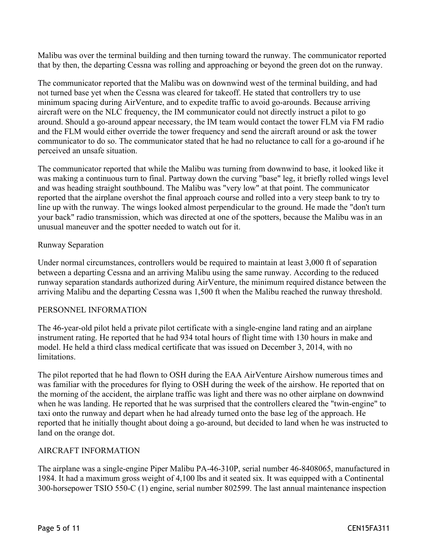Malibu was over the terminal building and then turning toward the runway. The communicator reported that by then, the departing Cessna was rolling and approaching or beyond the green dot on the runway.

The communicator reported that the Malibu was on downwind west of the terminal building, and had not turned base yet when the Cessna was cleared for takeoff. He stated that controllers try to use minimum spacing during AirVenture, and to expedite traffic to avoid go-arounds. Because arriving aircraft were on the NLC frequency, the IM communicator could not directly instruct a pilot to go around. Should a go-around appear necessary, the IM team would contact the tower FLM via FM radio and the FLM would either override the tower frequency and send the aircraft around or ask the tower communicator to do so. The communicator stated that he had no reluctance to call for a go-around if he perceived an unsafe situation.

The communicator reported that while the Malibu was turning from downwind to base, it looked like it was making a continuous turn to final. Partway down the curving "base" leg, it briefly rolled wings level and was heading straight southbound. The Malibu was "very low" at that point. The communicator reported that the airplane overshot the final approach course and rolled into a very steep bank to try to line up with the runway. The wings looked almost perpendicular to the ground. He made the "don't turn your back" radio transmission, which was directed at one of the spotters, because the Malibu was in an unusual maneuver and the spotter needed to watch out for it.

#### Runway Separation

Under normal circumstances, controllers would be required to maintain at least 3,000 ft of separation between a departing Cessna and an arriving Malibu using the same runway. According to the reduced runway separation standards authorized during AirVenture, the minimum required distance between the arriving Malibu and the departing Cessna was 1,500 ft when the Malibu reached the runway threshold.

#### PERSONNEL INFORMATION

The 46-year-old pilot held a private pilot certificate with a single-engine land rating and an airplane instrument rating. He reported that he had 934 total hours of flight time with 130 hours in make and model. He held a third class medical certificate that was issued on December 3, 2014, with no limitations.

The pilot reported that he had flown to OSH during the EAA AirVenture Airshow numerous times and was familiar with the procedures for flying to OSH during the week of the airshow. He reported that on the morning of the accident, the airplane traffic was light and there was no other airplane on downwind when he was landing. He reported that he was surprised that the controllers cleared the "twin-engine" to taxi onto the runway and depart when he had already turned onto the base leg of the approach. He reported that he initially thought about doing a go-around, but decided to land when he was instructed to land on the orange dot.

#### AIRCRAFT INFORMATION

The airplane was a single-engine Piper Malibu PA-46-310P, serial number 46-8408065, manufactured in 1984. It had a maximum gross weight of 4,100 lbs and it seated six. It was equipped with a Continental 300-horsepower TSIO 550-C (1) engine, serial number 802599. The last annual maintenance inspection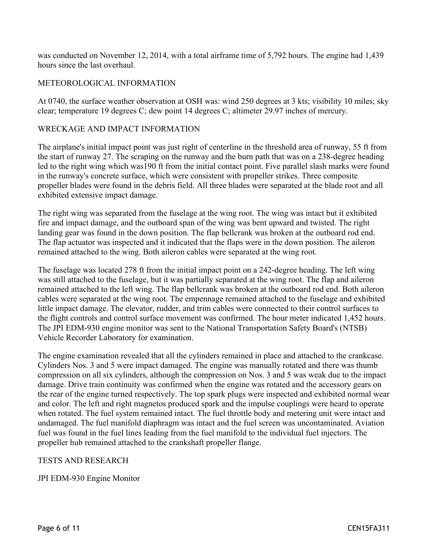was conducted on November 12, 2014, with a total airframe time of 5,792 hours. The engine had 1,439 hours since the last overhaul.

#### METEOROLOGICAL INFORMATION

At 0740, the surface weather observation at OSH was: wind 250 degrees at 3 kts; visibility 10 miles; sky clear; temperature 19 degrees C; dew point 14 degrees C; altimeter 29.97 inches of mercury.

#### WRECKAGE AND IMPACT INFORMATION

The airplane's initial impact point was just right of centerline in the threshold area of runway, 55 ft from the start of runway 27. The scraping on the runway and the burn path that was on a 238-degree heading led to the right wing which was190 ft from the initial contact point. Five parallel slash marks were found in the runway's concrete surface, which were consistent with propeller strikes. Three composite propeller blades were found in the debris field. All three blades were separated at the blade root and all exhibited extensive impact damage.

The right wing was separated from the fuselage at the wing root. The wing was intact but it exhibited fire and impact damage, and the outboard span of the wing was bent upward and twisted. The right landing gear was found in the down position. The flap bellcrank was broken at the outboard rod end. The flap actuator was inspected and it indicated that the flaps were in the down position. The aileron remained attached to the wing. Both aileron cables were separated at the wing root.

The fuselage was located 278 ft from the initial impact point on a 242-degree heading. The left wing was still attached to the fuselage, but it was partially separated at the wing root. The flap and aileron remained attached to the left wing. The flap bellcrank was broken at the outboard rod end. Both aileron cables were separated at the wing root. The empennage remained attached to the fuselage and exhibited little impact damage. The elevator, rudder, and trim cables were connected to their control surfaces to the flight controls and control surface movement was confirmed. The hour meter indicated 1,452 hours. The JPI EDM-930 engine monitor was sent to the National Transportation Safety Board's (NTSB) Vehicle Recorder Laboratory for examination.

The engine examination revealed that all the cylinders remained in place and attached to the crankcase. Cylinders Nos. 3 and 5 were impact damaged. The engine was manually rotated and there was thumb compression on all six cylinders, although the compression on Nos. 3 and 5 was weak due to the impact damage. Drive train continuity was confirmed when the engine was rotated and the accessory gears on the rear of the engine turned respectively. The top spark plugs were inspected and exhibited normal wear and color. The left and right magnetos produced spark and the impulse couplings were heard to operate when rotated. The fuel system remained intact. The fuel throttle body and metering unit were intact and undamaged. The fuel manifold diaphragm was intact and the fuel screen was uncontaminated. Aviation fuel was found in the fuel lines leading from the fuel manifold to the individual fuel injectors. The propeller hub remained attached to the crankshaft propeller flange.

#### TESTS AND RESEARCH

JPI EDM-930 Engine Monitor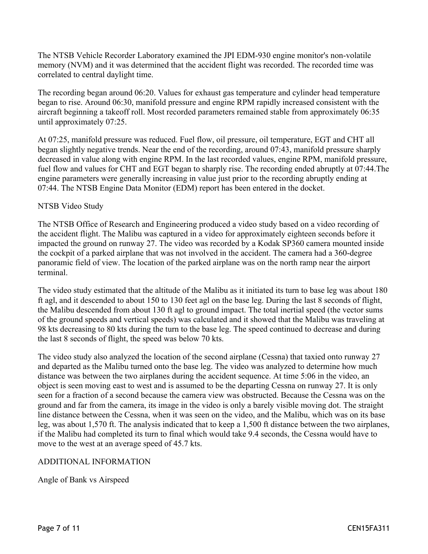The NTSB Vehicle Recorder Laboratory examined the JPI EDM-930 engine monitor's non-volatile memory (NVM) and it was determined that the accident flight was recorded. The recorded time was correlated to central daylight time.

The recording began around 06:20. Values for exhaust gas temperature and cylinder head temperature began to rise. Around 06:30, manifold pressure and engine RPM rapidly increased consistent with the aircraft beginning a takeoff roll. Most recorded parameters remained stable from approximately 06:35 until approximately 07:25.

At 07:25, manifold pressure was reduced. Fuel flow, oil pressure, oil temperature, EGT and CHT all began slightly negative trends. Near the end of the recording, around 07:43, manifold pressure sharply decreased in value along with engine RPM. In the last recorded values, engine RPM, manifold pressure, fuel flow and values for CHT and EGT began to sharply rise. The recording ended abruptly at 07:44.The engine parameters were generally increasing in value just prior to the recording abruptly ending at 07:44. The NTSB Engine Data Monitor (EDM) report has been entered in the docket.

#### NTSB Video Study

The NTSB Office of Research and Engineering produced a video study based on a video recording of the accident flight. The Malibu was captured in a video for approximately eighteen seconds before it impacted the ground on runway 27. The video was recorded by a Kodak SP360 camera mounted inside the cockpit of a parked airplane that was not involved in the accident. The camera had a 360-degree panoramic field of view. The location of the parked airplane was on the north ramp near the airport terminal.

The video study estimated that the altitude of the Malibu as it initiated its turn to base leg was about 180 ft agl, and it descended to about 150 to 130 feet agl on the base leg. During the last 8 seconds of flight, the Malibu descended from about 130 ft agl to ground impact. The total inertial speed (the vector sums of the ground speeds and vertical speeds) was calculated and it showed that the Malibu was traveling at 98 kts decreasing to 80 kts during the turn to the base leg. The speed continued to decrease and during the last 8 seconds of flight, the speed was below 70 kts.

The video study also analyzed the location of the second airplane (Cessna) that taxied onto runway 27 and departed as the Malibu turned onto the base leg. The video was analyzed to determine how much distance was between the two airplanes during the accident sequence. At time 5:06 in the video, an object is seen moving east to west and is assumed to be the departing Cessna on runway 27. It is only seen for a fraction of a second because the camera view was obstructed. Because the Cessna was on the ground and far from the camera, its image in the video is only a barely visible moving dot. The straight line distance between the Cessna, when it was seen on the video, and the Malibu, which was on its base leg, was about 1,570 ft. The analysis indicated that to keep a 1,500 ft distance between the two airplanes, if the Malibu had completed its turn to final which would take 9.4 seconds, the Cessna would have to move to the west at an average speed of 45.7 kts.

#### ADDITIONAL INFORMATION

Angle of Bank vs Airspeed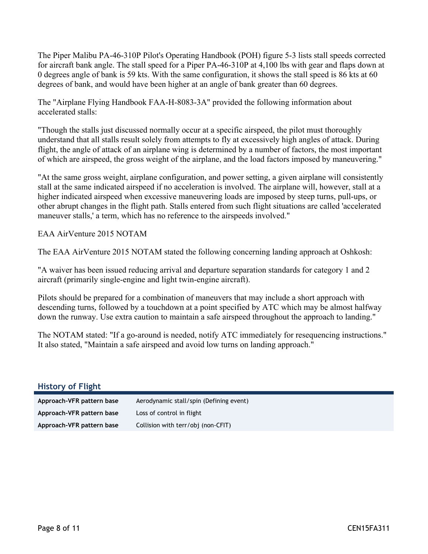The Piper Malibu PA-46-310P Pilot's Operating Handbook (POH) figure 5-3 lists stall speeds corrected for aircraft bank angle. The stall speed for a Piper PA-46-310P at 4,100 lbs with gear and flaps down at 0 degrees angle of bank is 59 kts. With the same configuration, it shows the stall speed is 86 kts at 60 degrees of bank, and would have been higher at an angle of bank greater than 60 degrees.

The "Airplane Flying Handbook FAA-H-8083-3A" provided the following information about accelerated stalls:

"Though the stalls just discussed normally occur at a specific airspeed, the pilot must thoroughly understand that all stalls result solely from attempts to fly at excessively high angles of attack. During flight, the angle of attack of an airplane wing is determined by a number of factors, the most important of which are airspeed, the gross weight of the airplane, and the load factors imposed by maneuvering."

"At the same gross weight, airplane configuration, and power setting, a given airplane will consistently stall at the same indicated airspeed if no acceleration is involved. The airplane will, however, stall at a higher indicated airspeed when excessive maneuvering loads are imposed by steep turns, pull-ups, or other abrupt changes in the flight path. Stalls entered from such flight situations are called 'accelerated maneuver stalls,' a term, which has no reference to the airspeeds involved."

EAA AirVenture 2015 NOTAM

The EAA AirVenture 2015 NOTAM stated the following concerning landing approach at Oshkosh:

"A waiver has been issued reducing arrival and departure separation standards for category 1 and 2 aircraft (primarily single-engine and light twin-engine aircraft).

Pilots should be prepared for a combination of maneuvers that may include a short approach with descending turns, followed by a touchdown at a point specified by ATC which may be almost halfway down the runway. Use extra caution to maintain a safe airspeed throughout the approach to landing."

The NOTAM stated: "If a go-around is needed, notify ATC immediately for resequencing instructions." It also stated, "Maintain a safe airspeed and avoid low turns on landing approach."

| <b>History of Flight</b>  |                                         |
|---------------------------|-----------------------------------------|
| Approach-VFR pattern base | Aerodynamic stall/spin (Defining event) |
| Approach-VFR pattern base | Loss of control in flight               |
| Approach-VFR pattern base | Collision with terr/obj (non-CFIT)      |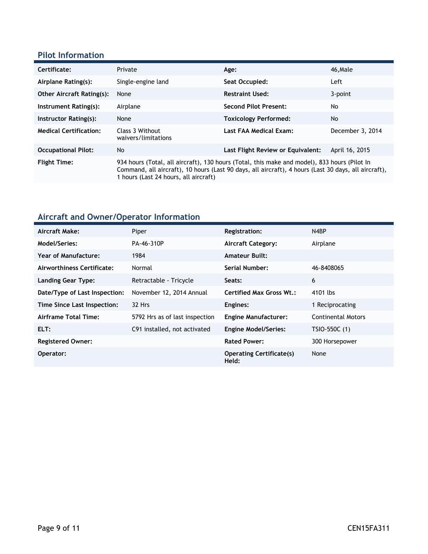### **Pilot Information**

| Certificate:                     | Private                                                                                                                                                                                                                                       | Age:                              | 46.Male          |
|----------------------------------|-----------------------------------------------------------------------------------------------------------------------------------------------------------------------------------------------------------------------------------------------|-----------------------------------|------------------|
| Airplane Rating(s):              | Single-engine land                                                                                                                                                                                                                            | Seat Occupied:                    | Left             |
| <b>Other Aircraft Rating(s):</b> | None                                                                                                                                                                                                                                          | <b>Restraint Used:</b>            | 3-point          |
| Instrument Rating(s):            | Airplane                                                                                                                                                                                                                                      | <b>Second Pilot Present:</b>      | No               |
| Instructor Rating(s):            | None                                                                                                                                                                                                                                          | <b>Toxicology Performed:</b>      | No               |
| <b>Medical Certification:</b>    | Class 3 Without<br>waivers/limitations                                                                                                                                                                                                        | Last FAA Medical Exam:            | December 3, 2014 |
| <b>Occupational Pilot:</b>       | No                                                                                                                                                                                                                                            | Last Flight Review or Equivalent: | April 16, 2015   |
| <b>Flight Time:</b>              | 934 hours (Total, all aircraft), 130 hours (Total, this make and model), 833 hours (Pilot In<br>Command, all aircraft), 10 hours (Last 90 days, all aircraft), 4 hours (Last 30 days, all aircraft),<br>1 hours (Last 24 hours, all aircraft) |                                   |                  |

# **Aircraft and Owner/Operator Information**

| Aircraft Make:                | Piper                          | <b>Registration:</b>                     | N4BP                      |
|-------------------------------|--------------------------------|------------------------------------------|---------------------------|
| Model/Series:                 | PA-46-310P                     | <b>Aircraft Category:</b>                | Airplane                  |
| Year of Manufacture:          | 1984                           | <b>Amateur Built:</b>                    |                           |
| Airworthiness Certificate:    | Normal                         | Serial Number:                           | 46-8408065                |
| <b>Landing Gear Type:</b>     | Retractable - Tricycle         | Seats:                                   | 6                         |
| Date/Type of Last Inspection: | November 12, 2014 Annual       | <b>Certified Max Gross Wt.:</b>          | 4101 lbs                  |
| Time Since Last Inspection:   | 32 Hrs                         | Engines:                                 | 1 Reciprocating           |
| Airframe Total Time:          | 5792 Hrs as of last inspection | <b>Engine Manufacturer:</b>              | <b>Continental Motors</b> |
| ELT:                          | C91 installed, not activated   | <b>Engine Model/Series:</b>              | TSIO-550C (1)             |
| <b>Registered Owner:</b>      |                                | <b>Rated Power:</b>                      | 300 Horsepower            |
| Operator:                     |                                | <b>Operating Certificate(s)</b><br>Held: | None                      |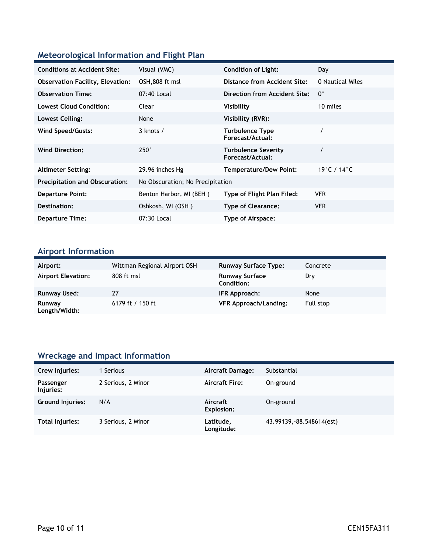## **Meteorological Information and Flight Plan**

| <b>Conditions at Accident Site:</b>     | Visual (VMC)                     | <b>Condition of Light:</b>                     | Day                               |
|-----------------------------------------|----------------------------------|------------------------------------------------|-----------------------------------|
| <b>Observation Facility, Elevation:</b> | OSH,808 ft msl                   | Distance from Accident Site:                   | 0 Nautical Miles                  |
| <b>Observation Time:</b>                | 07:40 Local                      | <b>Direction from Accident Site:</b>           | $0^{\circ}$                       |
| <b>Lowest Cloud Condition:</b>          | Clear                            | Visibility                                     | 10 miles                          |
| Lowest Ceiling:                         | None                             | Visibility (RVR):                              |                                   |
| Wind Speed/Gusts:                       | $3$ knots $/$                    | <b>Turbulence Type</b><br>Forecast/Actual:     |                                   |
| <b>Wind Direction:</b>                  | $250^\circ$                      | <b>Turbulence Severity</b><br>Forecast/Actual: |                                   |
| <b>Altimeter Setting:</b>               | 29.96 inches Hg                  | Temperature/Dew Point:                         | 19 $^{\circ}$ C / 14 $^{\circ}$ C |
| <b>Precipitation and Obscuration:</b>   | No Obscuration; No Precipitation |                                                |                                   |
| <b>Departure Point:</b>                 | Benton Harbor, MI (BEH)          | Type of Flight Plan Filed:                     | <b>VFR</b>                        |
| Destination:                            | Oshkosh, WI (OSH)                | <b>Type of Clearance:</b>                      | <b>VFR</b>                        |
| <b>Departure Time:</b>                  | 07:30 Local                      | Type of Airspace:                              |                                   |

# **Airport Information**

| Airport:                  | Wittman Regional Airport OSH | <b>Runway Surface Type:</b>                | Concrete  |
|---------------------------|------------------------------|--------------------------------------------|-----------|
| <b>Airport Elevation:</b> | 808 ft msl                   | <b>Runway Surface</b><br><b>Condition:</b> | Dry       |
| <b>Runway Used:</b>       | 27                           | IFR Approach:                              | None      |
| Runway<br>Length/Width:   | 6179 ft / 150 ft             | <b>VFR Approach/Landing:</b>               | Full stop |

## **Wreckage and Impact Information**

| Crew Injuries:          | Serious            | Aircraft Damage:        | Substantial               |
|-------------------------|--------------------|-------------------------|---------------------------|
| Passenger<br>Injuries:  | 2 Serious, 2 Minor | <b>Aircraft Fire:</b>   | On-ground                 |
| <b>Ground Injuries:</b> | N/A                | Aircraft<br>Explosion:  | On-ground                 |
| Total Injuries:         | 3 Serious, 2 Minor | Latitude,<br>Longitude: | 43.99139, -88.548614(est) |